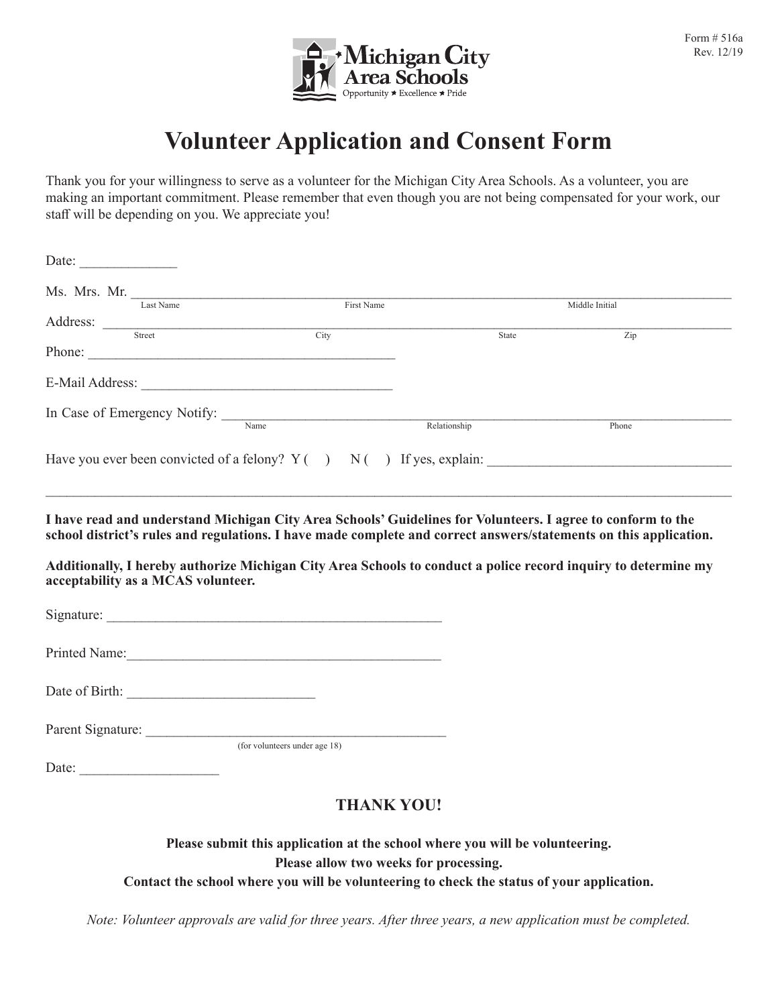

## **Volunteer Application and Consent Form**

Thank you for your willingness to serve as a volunteer for the Michigan City Area Schools. As a volunteer, you are making an important commitment. Please remember that even though you are not being compensated for your work, our staff will be depending on you. We appreciate you!

| Ms. Mrs. Mr. $\frac{1}{\text{Last Name}}$                                                                                                            |                               |       |                           |  |
|------------------------------------------------------------------------------------------------------------------------------------------------------|-------------------------------|-------|---------------------------|--|
|                                                                                                                                                      | First Name                    |       | Middle Initial            |  |
|                                                                                                                                                      | $\overline{\text{City}}$      | State | $\overline{\mathrm{Zip}}$ |  |
| Phone:                                                                                                                                               |                               |       |                           |  |
|                                                                                                                                                      |                               |       |                           |  |
| In Case of Emergency Notify: Name Relationship                                                                                                       |                               |       |                           |  |
|                                                                                                                                                      |                               |       | Phone                     |  |
|                                                                                                                                                      |                               |       |                           |  |
| Additionally, I hereby authorize Michigan City Area Schools to conduct a police record inquiry to determine my<br>acceptability as a MCAS volunteer. |                               |       |                           |  |
|                                                                                                                                                      |                               |       |                           |  |
|                                                                                                                                                      |                               |       |                           |  |
|                                                                                                                                                      |                               |       |                           |  |
|                                                                                                                                                      |                               |       |                           |  |
|                                                                                                                                                      |                               |       |                           |  |
|                                                                                                                                                      | (for volunteers under age 18) |       |                           |  |
|                                                                                                                                                      |                               |       |                           |  |

## **Please submit this application at the school where you will be volunteering. Please allow two weeks for processing. Contact the school where you will be volunteering to check the status of your application.**

*Note: Volunteer approvals are valid for three years. After three years, a new application must be completed.*